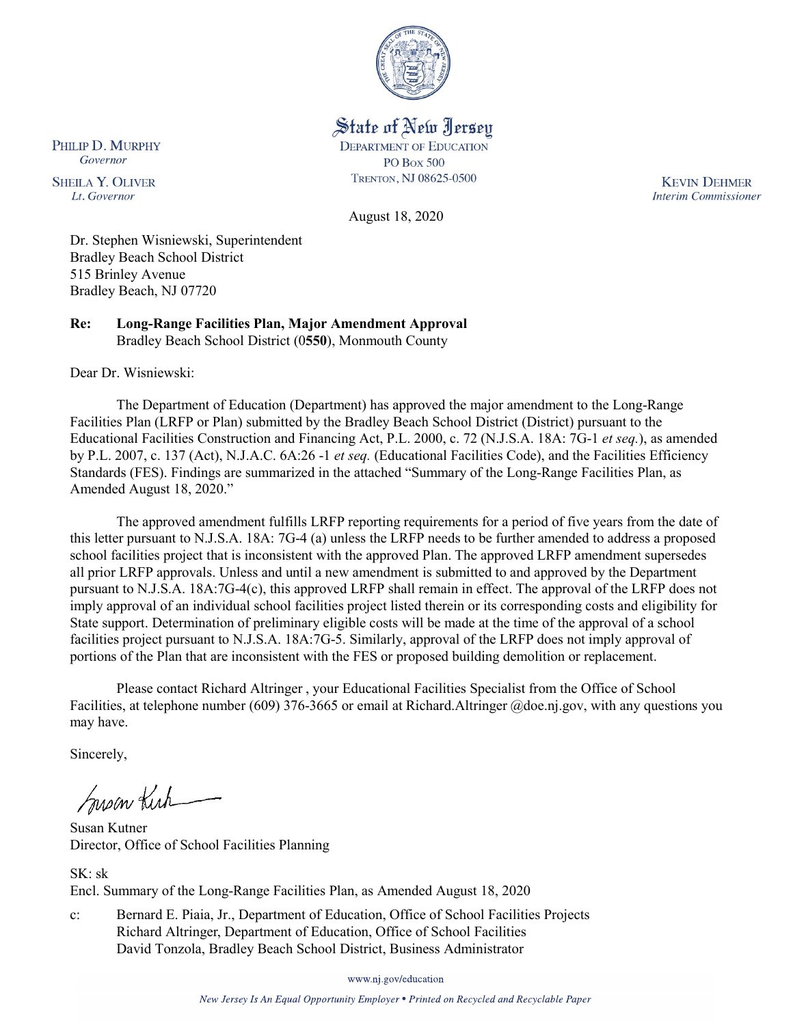

State of New Jersey

**DEPARTMENT OF EDUCATION PO Box 500** 

TRENTON, NJ 08625-0500

August 18, 2020

**KEVIN DEHMER Interim Commissioner** 

Dr. Stephen Wisniewski, Superintendent Bradley Beach School District 515 Brinley Avenue Bradley Beach, NJ 07720

**Re: Long-Range Facilities Plan, Major Amendment Approval**  Bradley Beach School District (0**550**), Monmouth County

Dear Dr. Wisniewski:

PHILIP D. MURPHY

Governor

**SHEILA Y. OLIVER** 

Lt. Governor

The Department of Education (Department) has approved the major amendment to the Long-Range Facilities Plan (LRFP or Plan) submitted by the Bradley Beach School District (District) pursuant to the Educational Facilities Construction and Financing Act, P.L. 2000, c. 72 (N.J.S.A. 18A: 7G-1 *et seq.*), as amended by P.L. 2007, c. 137 (Act), N.J.A.C. 6A:26 -1 *et seq.* (Educational Facilities Code), and the Facilities Efficiency Standards (FES). Findings are summarized in the attached "Summary of the Long-Range Facilities Plan, as Amended August 18, 2020."

The approved amendment fulfills LRFP reporting requirements for a period of five years from the date of this letter pursuant to N.J.S.A. 18A: 7G-4 (a) unless the LRFP needs to be further amended to address a proposed school facilities project that is inconsistent with the approved Plan. The approved LRFP amendment supersedes all prior LRFP approvals. Unless and until a new amendment is submitted to and approved by the Department pursuant to N.J.S.A. 18A:7G-4(c), this approved LRFP shall remain in effect. The approval of the LRFP does not imply approval of an individual school facilities project listed therein or its corresponding costs and eligibility for State support. Determination of preliminary eligible costs will be made at the time of the approval of a school facilities project pursuant to N.J.S.A. 18A:7G-5. Similarly, approval of the LRFP does not imply approval of portions of the Plan that are inconsistent with the FES or proposed building demolition or replacement.

Please contact Richard Altringer , your Educational Facilities Specialist from the Office of School Facilities, at telephone number (609) 376-3665 or email at Richard.Altringer @doe.nj.gov, with any questions you may have.

Sincerely,

Susan Kich

Susan Kutner Director, Office of School Facilities Planning

SK: sk Encl. Summary of the Long-Range Facilities Plan, as Amended August 18, 2020

c: Bernard E. Piaia, Jr., Department of Education, Office of School Facilities Projects Richard Altringer, Department of Education, Office of School Facilities David Tonzola, Bradley Beach School District, Business Administrator

www.nj.gov/education

New Jersey Is An Equal Opportunity Employer . Printed on Recycled and Recyclable Paper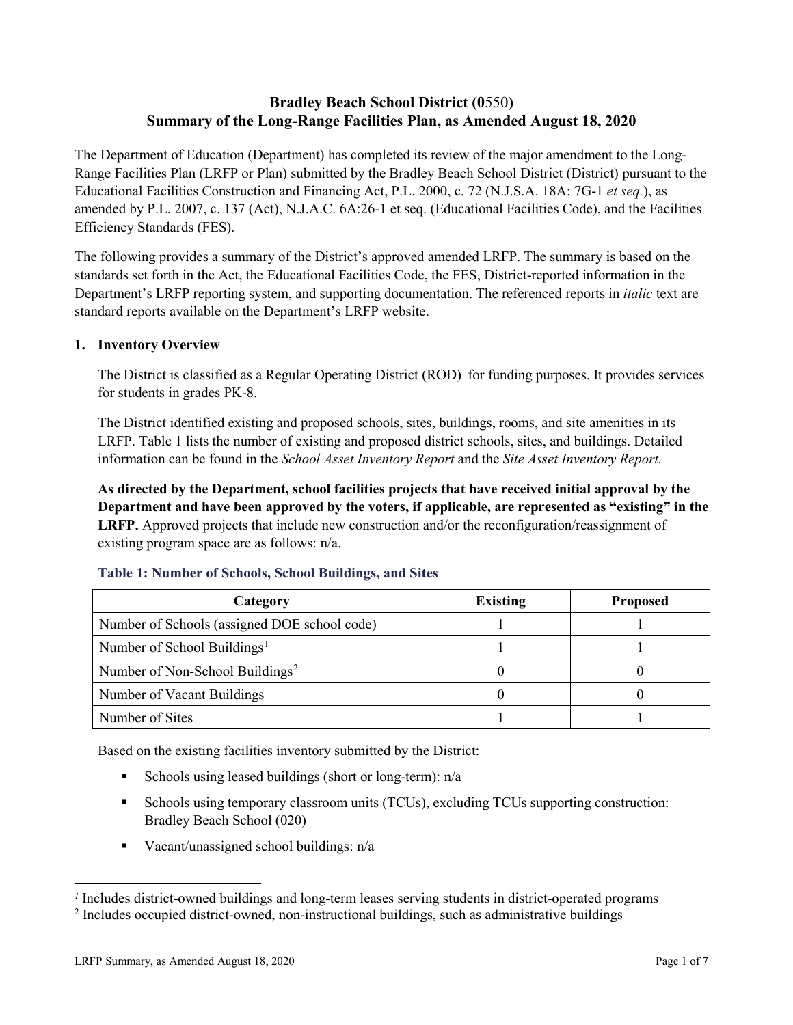# **Bradley Beach School District (0**550**) Summary of the Long-Range Facilities Plan, as Amended August 18, 2020**

The Department of Education (Department) has completed its review of the major amendment to the Long-Range Facilities Plan (LRFP or Plan) submitted by the Bradley Beach School District (District) pursuant to the Educational Facilities Construction and Financing Act, P.L. 2000, c. 72 (N.J.S.A. 18A: 7G-1 *et seq.*), as amended by P.L. 2007, c. 137 (Act), N.J.A.C. 6A:26-1 et seq. (Educational Facilities Code), and the Facilities Efficiency Standards (FES).

The following provides a summary of the District's approved amended LRFP. The summary is based on the standards set forth in the Act, the Educational Facilities Code, the FES, District-reported information in the Department's LRFP reporting system, and supporting documentation. The referenced reports in *italic* text are standard reports available on the Department's LRFP website.

### **1. Inventory Overview**

The District is classified as a Regular Operating District (ROD) for funding purposes. It provides services for students in grades PK-8.

The District identified existing and proposed schools, sites, buildings, rooms, and site amenities in its LRFP. Table 1 lists the number of existing and proposed district schools, sites, and buildings. Detailed information can be found in the *School Asset Inventory Report* and the *Site Asset Inventory Report.*

**As directed by the Department, school facilities projects that have received initial approval by the Department and have been approved by the voters, if applicable, are represented as "existing" in the LRFP.** Approved projects that include new construction and/or the reconfiguration/reassignment of existing program space are as follows: n/a.

| Category                                     | <b>Existing</b> | <b>Proposed</b> |
|----------------------------------------------|-----------------|-----------------|
| Number of Schools (assigned DOE school code) |                 |                 |
| Number of School Buildings <sup>1</sup>      |                 |                 |
| Number of Non-School Buildings <sup>2</sup>  |                 |                 |
| Number of Vacant Buildings                   |                 |                 |
| Number of Sites                              |                 |                 |

#### **Table 1: Number of Schools, School Buildings, and Sites**

Based on the existing facilities inventory submitted by the District:

- Schools using leased buildings (short or long-term):  $n/a$
- Schools using temporary classroom units (TCUs), excluding TCUs supporting construction: Bradley Beach School (020)
- Vacant/unassigned school buildings: n/a

 $\overline{a}$ 

<span id="page-1-1"></span><span id="page-1-0"></span>*<sup>1</sup>* Includes district-owned buildings and long-term leases serving students in district-operated programs

<sup>&</sup>lt;sup>2</sup> Includes occupied district-owned, non-instructional buildings, such as administrative buildings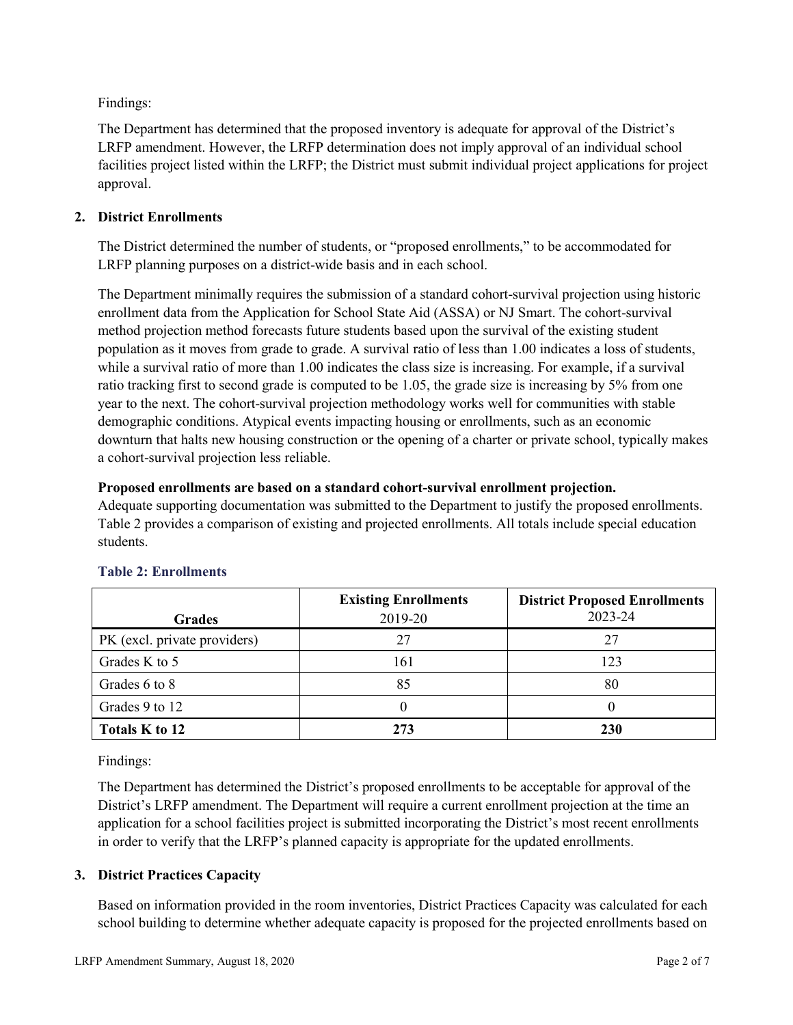Findings:

The Department has determined that the proposed inventory is adequate for approval of the District's LRFP amendment. However, the LRFP determination does not imply approval of an individual school facilities project listed within the LRFP; the District must submit individual project applications for project approval.

# **2. District Enrollments**

The District determined the number of students, or "proposed enrollments," to be accommodated for LRFP planning purposes on a district-wide basis and in each school.

The Department minimally requires the submission of a standard cohort-survival projection using historic enrollment data from the Application for School State Aid (ASSA) or NJ Smart. The cohort-survival method projection method forecasts future students based upon the survival of the existing student population as it moves from grade to grade. A survival ratio of less than 1.00 indicates a loss of students, while a survival ratio of more than 1.00 indicates the class size is increasing. For example, if a survival ratio tracking first to second grade is computed to be 1.05, the grade size is increasing by 5% from one year to the next. The cohort-survival projection methodology works well for communities with stable demographic conditions. Atypical events impacting housing or enrollments, such as an economic downturn that halts new housing construction or the opening of a charter or private school, typically makes a cohort-survival projection less reliable.

### **Proposed enrollments are based on a standard cohort-survival enrollment projection.**

Adequate supporting documentation was submitted to the Department to justify the proposed enrollments. Table 2 provides a comparison of existing and projected enrollments. All totals include special education students.

|                              | <b>Existing Enrollments</b> | <b>District Proposed Enrollments</b> |
|------------------------------|-----------------------------|--------------------------------------|
| <b>Grades</b>                | 2019-20                     | 2023-24                              |
| PK (excl. private providers) | 27                          | 27                                   |
| Grades K to 5                | 161                         | 123                                  |
| Grades 6 to 8                | 85                          | 80                                   |
| Grades 9 to 12               |                             |                                      |
| Totals K to 12               | 273                         | <b>230</b>                           |

# **Table 2: Enrollments**

Findings:

The Department has determined the District's proposed enrollments to be acceptable for approval of the District's LRFP amendment. The Department will require a current enrollment projection at the time an application for a school facilities project is submitted incorporating the District's most recent enrollments in order to verify that the LRFP's planned capacity is appropriate for the updated enrollments.

# **3. District Practices Capacity**

Based on information provided in the room inventories, District Practices Capacity was calculated for each school building to determine whether adequate capacity is proposed for the projected enrollments based on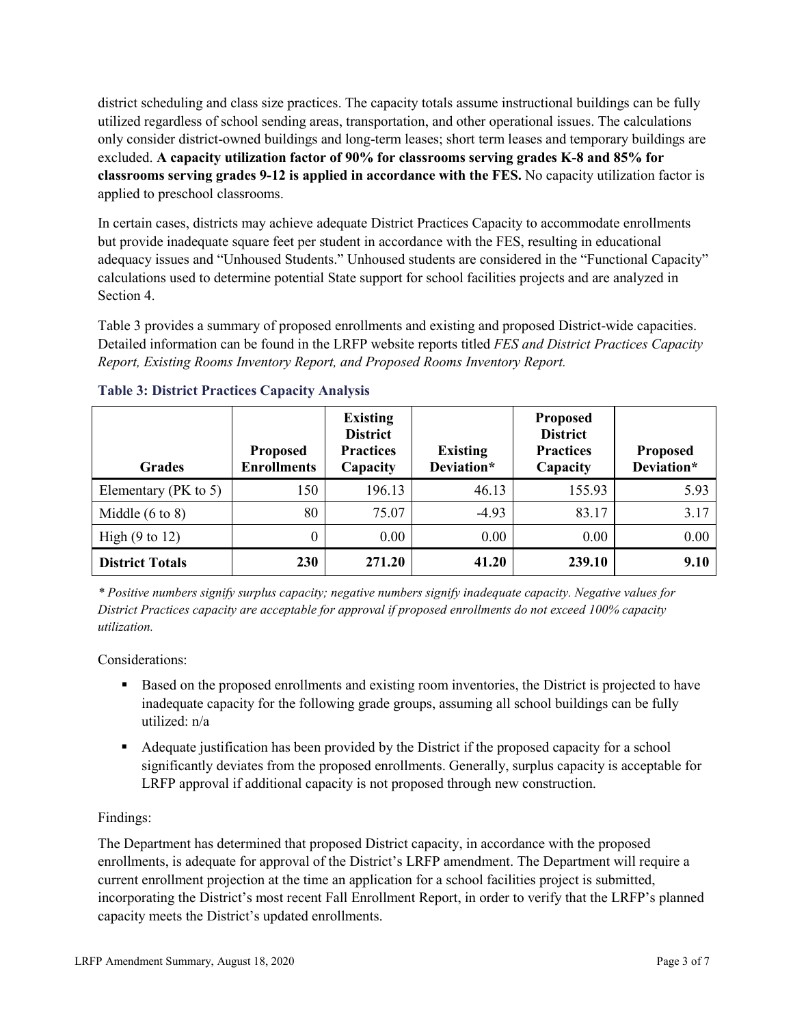district scheduling and class size practices. The capacity totals assume instructional buildings can be fully utilized regardless of school sending areas, transportation, and other operational issues. The calculations only consider district-owned buildings and long-term leases; short term leases and temporary buildings are excluded. **A capacity utilization factor of 90% for classrooms serving grades K-8 and 85% for classrooms serving grades 9-12 is applied in accordance with the FES.** No capacity utilization factor is applied to preschool classrooms.

In certain cases, districts may achieve adequate District Practices Capacity to accommodate enrollments but provide inadequate square feet per student in accordance with the FES, resulting in educational adequacy issues and "Unhoused Students." Unhoused students are considered in the "Functional Capacity" calculations used to determine potential State support for school facilities projects and are analyzed in Section 4.

Table 3 provides a summary of proposed enrollments and existing and proposed District-wide capacities. Detailed information can be found in the LRFP website reports titled *FES and District Practices Capacity Report, Existing Rooms Inventory Report, and Proposed Rooms Inventory Report.*

| <b>Grades</b>              | <b>Proposed</b><br><b>Enrollments</b> | <b>Existing</b><br><b>District</b><br><b>Practices</b><br>Capacity | <b>Existing</b><br>Deviation* | <b>Proposed</b><br><b>District</b><br><b>Practices</b><br>Capacity | <b>Proposed</b><br>Deviation* |
|----------------------------|---------------------------------------|--------------------------------------------------------------------|-------------------------------|--------------------------------------------------------------------|-------------------------------|
| Elementary ( $PK$ to 5)    | 150                                   | 196.13                                                             | 46.13                         | 155.93                                                             | 5.93                          |
| Middle $(6 \text{ to } 8)$ | 80                                    | 75.07                                                              | $-4.93$                       | 83.17                                                              | 3.17                          |
| High $(9 \text{ to } 12)$  | 0                                     | 0.00                                                               | 0.00                          | 0.00                                                               | 0.00                          |
| <b>District Totals</b>     | 230                                   | 271.20                                                             | 41.20                         | 239.10                                                             | 9.10                          |

# **Table 3: District Practices Capacity Analysis**

*\* Positive numbers signify surplus capacity; negative numbers signify inadequate capacity. Negative values for District Practices capacity are acceptable for approval if proposed enrollments do not exceed 100% capacity utilization.*

Considerations:

- Based on the proposed enrollments and existing room inventories, the District is projected to have inadequate capacity for the following grade groups, assuming all school buildings can be fully utilized: n/a
- Adequate justification has been provided by the District if the proposed capacity for a school significantly deviates from the proposed enrollments. Generally, surplus capacity is acceptable for LRFP approval if additional capacity is not proposed through new construction.

# Findings:

The Department has determined that proposed District capacity, in accordance with the proposed enrollments, is adequate for approval of the District's LRFP amendment. The Department will require a current enrollment projection at the time an application for a school facilities project is submitted, incorporating the District's most recent Fall Enrollment Report, in order to verify that the LRFP's planned capacity meets the District's updated enrollments.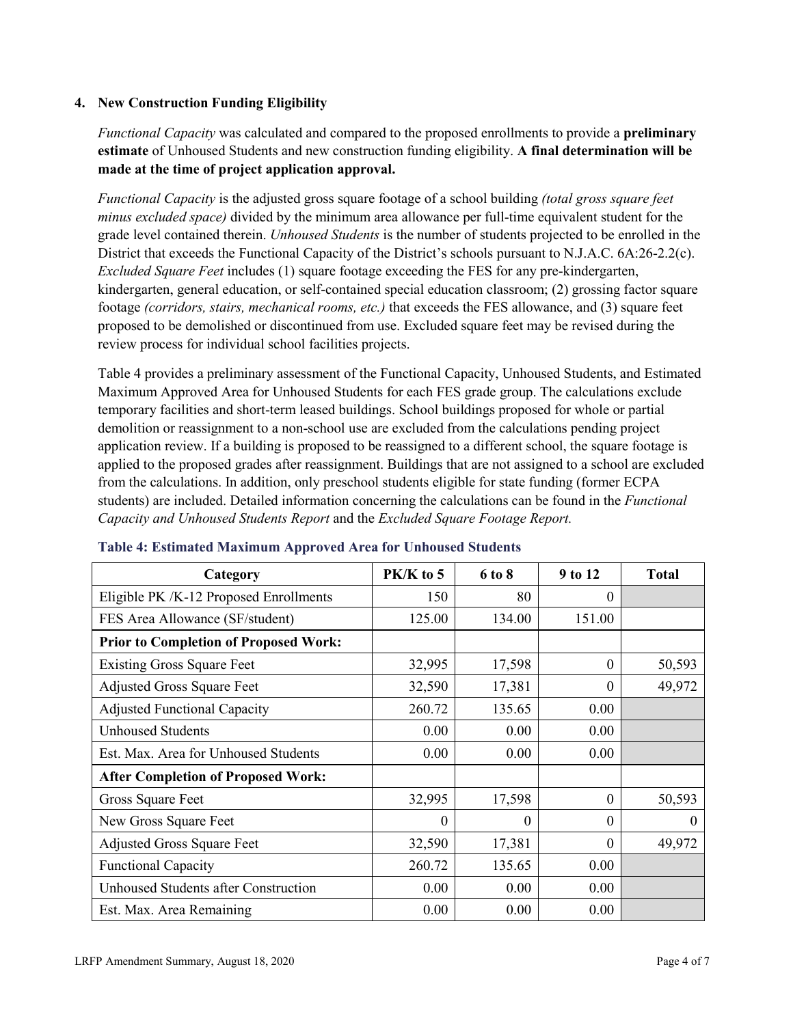### **4. New Construction Funding Eligibility**

*Functional Capacity* was calculated and compared to the proposed enrollments to provide a **preliminary estimate** of Unhoused Students and new construction funding eligibility. **A final determination will be made at the time of project application approval.**

*Functional Capacity* is the adjusted gross square footage of a school building *(total gross square feet minus excluded space)* divided by the minimum area allowance per full-time equivalent student for the grade level contained therein. *Unhoused Students* is the number of students projected to be enrolled in the District that exceeds the Functional Capacity of the District's schools pursuant to N.J.A.C. 6A:26-2.2(c). *Excluded Square Feet* includes (1) square footage exceeding the FES for any pre-kindergarten, kindergarten, general education, or self-contained special education classroom; (2) grossing factor square footage *(corridors, stairs, mechanical rooms, etc.)* that exceeds the FES allowance, and (3) square feet proposed to be demolished or discontinued from use. Excluded square feet may be revised during the review process for individual school facilities projects.

Table 4 provides a preliminary assessment of the Functional Capacity, Unhoused Students, and Estimated Maximum Approved Area for Unhoused Students for each FES grade group. The calculations exclude temporary facilities and short-term leased buildings. School buildings proposed for whole or partial demolition or reassignment to a non-school use are excluded from the calculations pending project application review. If a building is proposed to be reassigned to a different school, the square footage is applied to the proposed grades after reassignment. Buildings that are not assigned to a school are excluded from the calculations. In addition, only preschool students eligible for state funding (former ECPA students) are included. Detailed information concerning the calculations can be found in the *Functional Capacity and Unhoused Students Report* and the *Excluded Square Footage Report.*

| Category                                     | PK/K to 5 | 6 to 8   | 9 to 12  | <b>Total</b> |
|----------------------------------------------|-----------|----------|----------|--------------|
| Eligible PK /K-12 Proposed Enrollments       | 150       | 80       | 0        |              |
| FES Area Allowance (SF/student)              | 125.00    | 134.00   | 151.00   |              |
| <b>Prior to Completion of Proposed Work:</b> |           |          |          |              |
| <b>Existing Gross Square Feet</b>            | 32,995    | 17,598   | $\theta$ | 50,593       |
| <b>Adjusted Gross Square Feet</b>            | 32,590    | 17,381   | $\theta$ | 49,972       |
| <b>Adjusted Functional Capacity</b>          | 260.72    | 135.65   | 0.00     |              |
| <b>Unhoused Students</b>                     | 0.00      | 0.00     | 0.00     |              |
| Est. Max. Area for Unhoused Students         | 0.00      | 0.00     | 0.00     |              |
| <b>After Completion of Proposed Work:</b>    |           |          |          |              |
| Gross Square Feet                            | 32,995    | 17,598   | $\Omega$ | 50,593       |
| New Gross Square Feet                        | $\Omega$  | $\Omega$ | $\Omega$ | $\theta$     |
| <b>Adjusted Gross Square Feet</b>            | 32,590    | 17,381   | $\Omega$ | 49,972       |
| <b>Functional Capacity</b>                   | 260.72    | 135.65   | 0.00     |              |
| <b>Unhoused Students after Construction</b>  | 0.00      | 0.00     | 0.00     |              |
| Est. Max. Area Remaining                     | 0.00      | 0.00     | 0.00     |              |

#### **Table 4: Estimated Maximum Approved Area for Unhoused Students**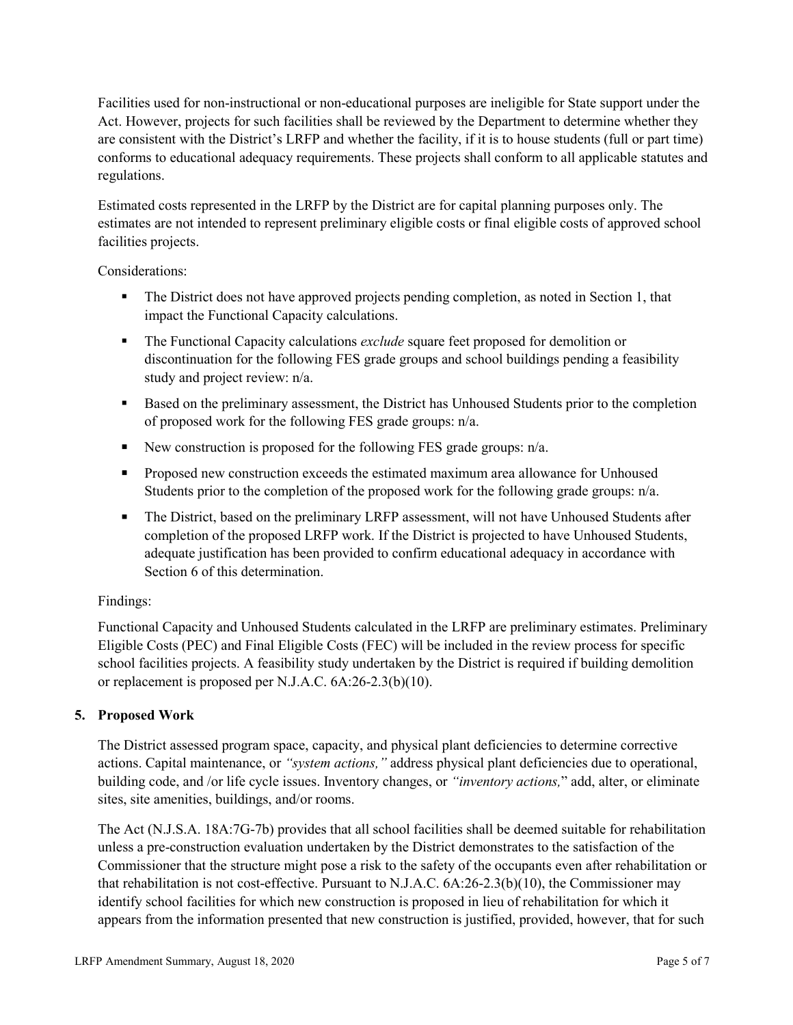Facilities used for non-instructional or non-educational purposes are ineligible for State support under the Act. However, projects for such facilities shall be reviewed by the Department to determine whether they are consistent with the District's LRFP and whether the facility, if it is to house students (full or part time) conforms to educational adequacy requirements. These projects shall conform to all applicable statutes and regulations.

Estimated costs represented in the LRFP by the District are for capital planning purposes only. The estimates are not intended to represent preliminary eligible costs or final eligible costs of approved school facilities projects.

Considerations:

- The District does not have approved projects pending completion, as noted in Section 1, that impact the Functional Capacity calculations.
- **The Functional Capacity calculations** *exclude* square feet proposed for demolition or discontinuation for the following FES grade groups and school buildings pending a feasibility study and project review: n/a.
- Based on the preliminary assessment, the District has Unhoused Students prior to the completion of proposed work for the following FES grade groups: n/a.
- New construction is proposed for the following FES grade groups: n/a.
- Proposed new construction exceeds the estimated maximum area allowance for Unhoused Students prior to the completion of the proposed work for the following grade groups: n/a.
- The District, based on the preliminary LRFP assessment, will not have Unhoused Students after completion of the proposed LRFP work. If the District is projected to have Unhoused Students, adequate justification has been provided to confirm educational adequacy in accordance with Section 6 of this determination.

# Findings:

Functional Capacity and Unhoused Students calculated in the LRFP are preliminary estimates. Preliminary Eligible Costs (PEC) and Final Eligible Costs (FEC) will be included in the review process for specific school facilities projects. A feasibility study undertaken by the District is required if building demolition or replacement is proposed per N.J.A.C. 6A:26-2.3(b)(10).

# **5. Proposed Work**

The District assessed program space, capacity, and physical plant deficiencies to determine corrective actions. Capital maintenance, or *"system actions,"* address physical plant deficiencies due to operational, building code, and /or life cycle issues. Inventory changes, or *"inventory actions,*" add, alter, or eliminate sites, site amenities, buildings, and/or rooms.

The Act (N.J.S.A. 18A:7G-7b) provides that all school facilities shall be deemed suitable for rehabilitation unless a pre-construction evaluation undertaken by the District demonstrates to the satisfaction of the Commissioner that the structure might pose a risk to the safety of the occupants even after rehabilitation or that rehabilitation is not cost-effective. Pursuant to N.J.A.C. 6A:26-2.3(b)(10), the Commissioner may identify school facilities for which new construction is proposed in lieu of rehabilitation for which it appears from the information presented that new construction is justified, provided, however, that for such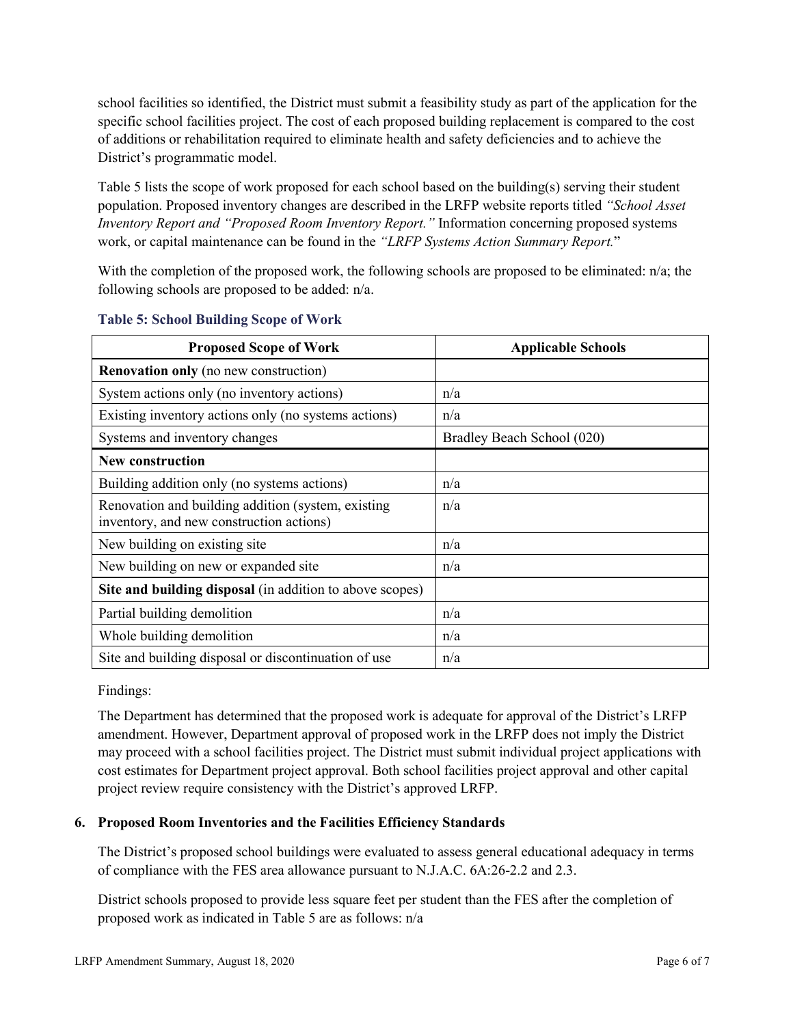school facilities so identified, the District must submit a feasibility study as part of the application for the specific school facilities project. The cost of each proposed building replacement is compared to the cost of additions or rehabilitation required to eliminate health and safety deficiencies and to achieve the District's programmatic model.

Table 5 lists the scope of work proposed for each school based on the building(s) serving their student population. Proposed inventory changes are described in the LRFP website reports titled *"School Asset Inventory Report and "Proposed Room Inventory Report."* Information concerning proposed systems work, or capital maintenance can be found in the *"LRFP Systems Action Summary Report.*"

With the completion of the proposed work, the following schools are proposed to be eliminated: n/a; the following schools are proposed to be added: n/a.

| <b>Proposed Scope of Work</b>                                                                  | <b>Applicable Schools</b>  |
|------------------------------------------------------------------------------------------------|----------------------------|
| <b>Renovation only</b> (no new construction)                                                   |                            |
| System actions only (no inventory actions)                                                     | n/a                        |
| Existing inventory actions only (no systems actions)                                           | n/a                        |
| Systems and inventory changes                                                                  | Bradley Beach School (020) |
| New construction                                                                               |                            |
| Building addition only (no systems actions)                                                    | n/a                        |
| Renovation and building addition (system, existing<br>inventory, and new construction actions) | n/a                        |
| New building on existing site.                                                                 | n/a                        |
| New building on new or expanded site                                                           | n/a                        |
| Site and building disposal (in addition to above scopes)                                       |                            |
| Partial building demolition                                                                    | n/a                        |
| Whole building demolition                                                                      | n/a                        |
| Site and building disposal or discontinuation of use                                           | n/a                        |

#### **Table 5: School Building Scope of Work**

Findings:

The Department has determined that the proposed work is adequate for approval of the District's LRFP amendment. However, Department approval of proposed work in the LRFP does not imply the District may proceed with a school facilities project. The District must submit individual project applications with cost estimates for Department project approval. Both school facilities project approval and other capital project review require consistency with the District's approved LRFP.

# **6. Proposed Room Inventories and the Facilities Efficiency Standards**

The District's proposed school buildings were evaluated to assess general educational adequacy in terms of compliance with the FES area allowance pursuant to N.J.A.C. 6A:26-2.2 and 2.3.

District schools proposed to provide less square feet per student than the FES after the completion of proposed work as indicated in Table 5 are as follows: n/a